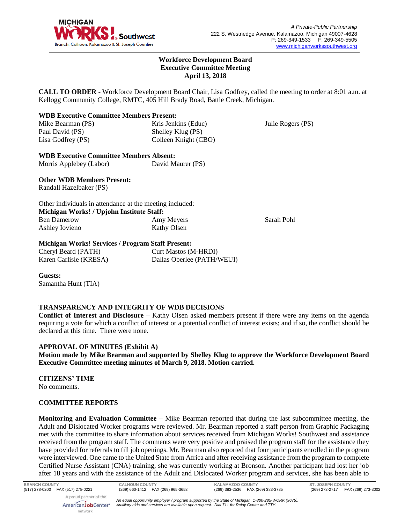

Julie Rogers (PS)

### **Workforce Development Board Executive Committee Meeting April 13, 2018**

**CALL TO ORDER** - Workforce Development Board Chair, Lisa Godfrey, called the meeting to order at 8:01 a.m. at Kellogg Community College, RMTC, 405 Hill Brady Road, Battle Creek, Michigan.

## **WDB Executive Committee Members Present:**

Mike Bearman (PS) Paul David (PS) Lisa Godfrey (PS)

Kris Jenkins (Educ) Shelley Klug (PS) Colleen Knight (CBO)

**WDB Executive Committee Members Absent:** Morris Applebey (Labor) David Maurer (PS)

## **Other WDB Members Present:**

Randall Hazelbaker (PS)

|                                           | Other individuals in attendance at the meeting included: |            |
|-------------------------------------------|----------------------------------------------------------|------------|
| Michigan Works! / Upjohn Institute Staff: |                                                          |            |
| <b>Ben Damerow</b>                        | Amy Meyers                                               | Sarah Pohl |
| Ashley Iovieno                            | Kathy Olsen                                              |            |

# **Michigan Works! Services / Program Staff Present:**

Cheryl Beard (PATH) Karen Carlisle (KRESA) Curt Mastos (M-HRDI) Dallas Oberlee (PATH/WEUI)

**Guests:** Samantha Hunt (TIA)

# **TRANSPARENCY AND INTEGRITY OF WDB DECISIONS**

**Conflict of Interest and Disclosure** – Kathy Olsen asked members present if there were any items on the agenda requiring a vote for which a conflict of interest or a potential conflict of interest exists; and if so, the conflict should be declared at this time. There were none.

## **APPROVAL OF MINUTES (Exhibit A)**

**Motion made by Mike Bearman and supported by Shelley Klug to approve the Workforce Development Board Executive Committee meeting minutes of March 9, 2018. Motion carried.** 

**CITIZENS' TIME**

No comments.

## **COMMITTEE REPORTS**

**Monitoring and Evaluation Committee** – Mike Bearman reported that during the last subcommittee meeting, the Adult and Dislocated Worker programs were reviewed. Mr. Bearman reported a staff person from Graphic Packaging met with the committee to share information about services received from Michigan Works! Southwest and assistance received from the program staff. The comments were very positive and praised the program staff for the assistance they have provided for referrals to fill job openings. Mr. Bearman also reported that four participants enrolled in the program were interviewed. One came to the United State from Africa and after receiving assistance from the program to complete Certified Nurse Assistant (CNA) training, she was currently working at Bronson. Another participant had lost her job after 18 years and with the assistance of the Adult and Dislocated Worker program and services, she has been able to

*An equal opportunity employer / program supported by the State of Michigan. 1-800-285-WORK (9675). Auxiliary aids and services are available upon request. Dial 711 for Relay Center and TTY.*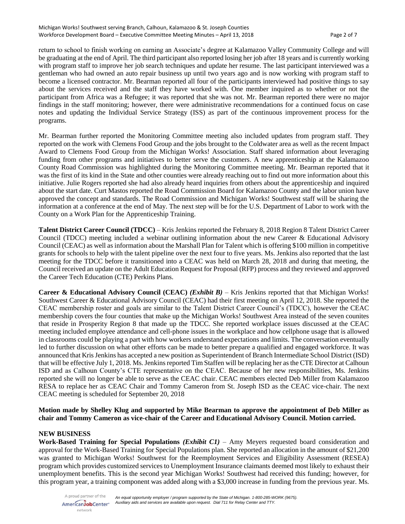return to school to finish working on earning an Associate's degree at Kalamazoo Valley Community College and will be graduating at the end of April. The third participant also reported losing her job after 18 years and is currently working with program staff to improve her job search techniques and update her resume. The last participant interviewed was a gentleman who had owned an auto repair business up until two years ago and is now working with program staff to become a licensed contractor. Mr. Bearman reported all four of the participants interviewed had positive things to say about the services received and the staff they have worked with. One member inquired as to whether or not the participant from Africa was a Refugee; it was reported that she was not. Mr. Bearman reported there were no major findings in the staff monitoring; however, there were administrative recommendations for a continued focus on case notes and updating the Individual Service Strategy (ISS) as part of the continuous improvement process for the programs.

Mr. Bearman further reported the Monitoring Committee meeting also included updates from program staff. They reported on the work with Clemens Food Group and the jobs brought to the Coldwater area as well as the recent Impact Award to Clemens Food Group from the Michigan Works! Association. Staff shared information about leveraging funding from other programs and initiatives to better serve the customers. A new apprenticeship at the Kalamazoo County Road Commission was highlighted during the Monitoring Committee meeting. Mr. Bearman reported that it was the first of its kind in the State and other counties were already reaching out to find out more information about this initiative. Julie Rogers reported she had also already heard inquiries from others about the apprenticeship and inquired about the start date. Curt Mastos reported the Road Commission Board for Kalamazoo County and the labor union have approved the concept and standards. The Road Commission and Michigan Works! Southwest staff will be sharing the information at a conference at the end of May. The next step will be for the U.S. Department of Labor to work with the County on a Work Plan for the Apprenticeship Training.

**Talent District Career Council (TDCC)** – Kris Jenkins reported the February 8, 2018 Region 8 Talent District Career Council (TDCC) meeting included a webinar outlining information about the new Career & Educational Advisory Council (CEAC) as well as information about the Marshall Plan for Talent which is offering \$100 million in competitive grants for schools to help with the talent pipeline over the next four to five years. Ms. Jenkins also reported that the last meeting for the TDCC before it transitioned into a CEAC was held on March 28, 2018 and during that meeting, the Council received an update on the Adult Education Request for Proposal (RFP) process and they reviewed and approved the Career Tech Education (CTE) Perkins Plans.

**Career & Educational Advisory Council (CEAC)** *(Exhibit B)* – Kris Jenkins reported that that Michigan Works! Southwest Career & Educational Advisory Council (CEAC) had their first meeting on April 12, 2018. She reported the CEAC membership roster and goals are similar to the Talent District Career Council's (TDCC), however the CEAC membership covers the four counties that make up the Michigan Works! Southwest Area instead of the seven counites that reside in Prosperity Region 8 that made up the TDCC. She reported workplace issues discussed at the CEAC meeting included employee attendance and cell-phone issues in the workplace and how cellphone usage that is allowed in classrooms could be playing a part with how workers understand expectations and limits. The conversation eventually led to further discussion on what other efforts can be made to better prepare a qualified and engaged workforce. It was announced that Kris Jenkins has accepted a new position as Superintendent of Branch Intermediate School District (ISD) that will be effective July 1, 2018. Ms. Jenkins reported Tim Staffen will be replacing her as the CTE Director at Calhoun ISD and as Calhoun County's CTE representative on the CEAC. Because of her new responsibilities, Ms. Jenkins reported she will no longer be able to serve as the CEAC chair. CEAC members elected Deb Miller from Kalamazoo RESA to replace her as CEAC Chair and Tommy Cameron from St. Joseph ISD as the CEAC vice-chair. The next CEAC meeting is scheduled for September 20, 2018

## **Motion made by Shelley Klug and supported by Mike Bearman to approve the appointment of Deb Miller as chair and Tommy Cameron as vice-chair of the Career and Educational Advisory Council. Motion carried.**

### **NEW BUSINESS**

**Work-Based Training for Special Populations** *(Exhibit C1)* – Amy Meyers requested board consideration and approval for the Work-Based Training for Special Populations plan. She reported an allocation in the amount of \$21,200 was granted to Michigan Works! Southwest for the Reemployment Services and Eligibility Assessment (RESEA) program which provides customized services to Unemployment Insurance claimants deemed most likely to exhaust their unemployment benefits. This is the second year Michigan Works! Southwest had received this funding; however, for this program year, a training component was added along with a \$3,000 increase in funding from the previous year. Ms.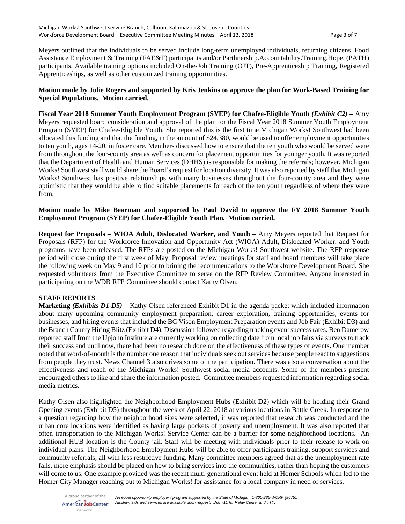Meyers outlined that the individuals to be served include long-term unemployed individuals, returning citizens, Food Assistance Employment & Training (FAE&T) participants and/or Parthnership.Accountability.Training.Hope. (PATH) participants. Available training options included On-the-Job Training (OJT), Pre-Apprenticeship Training, Registered Apprenticeships, as well as other customized training opportunities.

## **Motion made by Julie Rogers and supported by Kris Jenkins to approve the plan for Work-Based Training for Special Populations. Motion carried.**

**Fiscal Year 2018 Summer Youth Employment Program (SYEP) for Chafee-Eligible Youth** *(Exhibit C2)* **–** Amy Meyers requested board consideration and approval of the plan for the Fiscal Year 2018 Summer Youth Employment Program (SYEP) for Chafee-Eligible Youth. She reported this is the first time Michigan Works! Southwest had been allocated this funding and that the funding, in the amount of \$24,380, would be used to offer employment opportunities to ten youth, ages 14-20, in foster care. Members discussed how to ensure that the ten youth who would be served were from throughout the four-county area as well as concern for placement opportunities for younger youth. It was reported that the Department of Health and Human Services (DHHS) is responsible for making the referrals; however, Michigan Works! Southwest staff would share the Board's request for location diversity. It was also reported by staff that Michigan Works! Southwest has positive relationships with many businesses throughout the four-county area and they were optimistic that they would be able to find suitable placements for each of the ten youth regardless of where they were from.

## **Motion made by Mike Bearman and supported by Paul David to approve the FY 2018 Summer Youth Employment Program (SYEP) for Chafee-Eligible Youth Plan. Motion carried.**

**Request for Proposals – WIOA Adult, Dislocated Worker, and Youth –** Amy Meyers reported that Request for Proposals (RFP) for the Workforce Innovation and Opportunity Act (WIOA) Adult, Dislocated Worker, and Youth programs have been released. The RFPs are posted on the Michigan Works! Southwest website. The RFP response period will close during the first week of May. Proposal review meetings for staff and board members will take place the following week on May 9 and 10 prior to brining the recommendations to the Workforce Development Board. She requested volunteers from the Executive Committee to serve on the RFP Review Committee. Anyone interested in participating on the WDB RFP Committee should contact Kathy Olsen.

## **STAFF REPORTS**

**Marketing** *(Exhibits D1-D5)* – Kathy Olsen referenced Exhibit D1 in the agenda packet which included information about many upcoming community employment preparation, career exploration, training opportunities, events for businesses, and hiring events that included the BC Vison Employment Preparation events and Job Fair (Exhibit D3) and the Branch County Hiring Blitz (Exhibit D4). Discussion followed regarding tracking event success rates. Ben Damerow reported staff from the Upjohn Institute are currently working on collecting date from local job fairs via surveys to track their success and until now, there had been no research done on the effectiveness of these types of events. One member noted that word-of-mouth is the number one reason that individuals seek out services because people react to suggestions from people they trust. News Channel 3 also drives some of the participation. There was also a conversation about the effectiveness and reach of the Michigan Works! Southwest social media accounts. Some of the members present encouraged others to like and share the information posted. Committee members requested information regarding social media metrics.

Kathy Olsen also highlighted the Neighborhood Employment Hubs (Exhibit D2) which will be holding their Grand Opening events (Exhibit D5) throughout the week of April 22, 2018 at various locations in Battle Creek. In response to a question regarding how the neighborhood sites were selected, it was reported that research was conducted and the urban core locations were identified as having large pockets of poverty and unemployment. It was also reported that often transportation to the Michigan Works! Service Center can be a barrier for some neighborhood locations. An additional HUB location is the County jail. Staff will be meeting with individuals prior to their release to work on individual plans. The Neighborhood Employment Hubs will be able to offer participants training, support services and community referrals, all with less restrictive funding. Many committee members agreed that as the unemployment rate falls, more emphasis should be placed on how to bring services into the communities, rather than hoping the customers will come to us. One example provided was the recent multi-generational event held at Homer Schools which led to the Homer City Manager reaching out to Michigan Works! for assistance for a local company in need of services.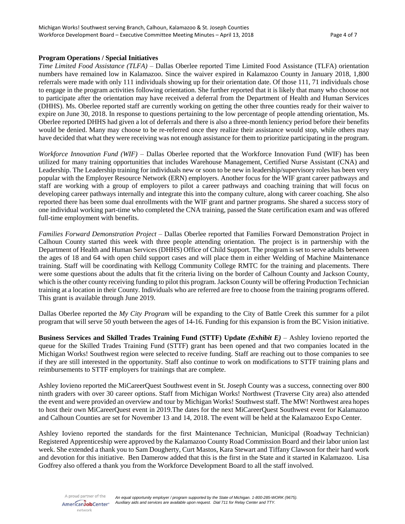### **Program Operations / Special Initiatives**

*Time Limited Food Assistance (TLFA) –* Dallas Oberlee reported Time Limited Food Assistance (TLFA) orientation numbers have remained low in Kalamazoo. Since the waiver expired in Kalamazoo County in January 2018, 1,800 referrals were made with only 111 individuals showing up for their orientation date. Of those 111, 71 individuals chose to engage in the program activities following orientation. She further reported that it is likely that many who choose not to participate after the orientation may have received a deferral from the Department of Health and Human Services (DHHS). Ms. Oberlee reported staff are currently working on getting the other three counties ready for their waiver to expire on June 30, 2018. In response to questions pertaining to the low percentage of people attending orientation, Ms. Oberlee reported DHHS had given a lot of deferrals and there is also a three-month leniency period before their benefits would be denied. Many may choose to be re-referred once they realize their assistance would stop, while others may have decided that what they were receiving was not enough assistance for them to prioritize participating in the program.

*Workforce Innovation Fund (WIF)* – Dallas Oberlee reported that the Workforce Innovation Fund (WIF) has been utilized for many training opportunities that includes Warehouse Management, Certified Nurse Assistant (CNA) and Leadership. The Leadership training for individuals new or soon to be new in leadership/supervisory roles has been very popular with the Employer Resource Network (ERN) employers. Another focus for the WIF grant career pathways and staff are working with a group of employers to pilot a career pathways and coaching training that will focus on developing career pathways internally and integrate this into the company culture, along with career coaching. She also reported there has been some dual enrollments with the WIF grant and partner programs. She shared a success story of one individual working part-time who completed the CNA training, passed the State certification exam and was offered full-time employment with benefits.

*Families Forward Demonstration Project* – Dallas Oberlee reported that Families Forward Demonstration Project in Calhoun County started this week with three people attending orientation. The project is in partnership with the Department of Health and Human Services (DHHS) Office of Child Support. The program is set to serve adults between the ages of 18 and 64 with open child support cases and will place them in either Welding of Machine Maintenance training. Staff will be coordinating with Kellogg Community College RMTC for the training and placements. There were some questions about the adults that fit the criteria living on the border of Calhoun County and Jackson County, which is the other county receiving funding to pilot this program. Jackson County will be offering Production Technician training at a location in their County. Individuals who are referred are free to choose from the training programs offered. This grant is available through June 2019.

Dallas Oberlee reported the *My City Program* will be expanding to the City of Battle Creek this summer for a pilot program that will serve 50 youth between the ages of 14-16. Funding for this expansion is from the BC Vision initiative.

**Business Services and Skilled Trades Training Fund (STTF) Update** *(Exhibit E)* – Ashley Iovieno reported the queue for the Skilled Trades Training Fund (STTF) grant has been opened and that two companies located in the Michigan Works! Southwest region were selected to receive funding. Staff are reaching out to those companies to see if they are still interested in the opportunity. Staff also continue to work on modifications to STTF training plans and reimbursements to STTF employers for trainings that are complete.

Ashley Iovieno reported the MiCareerQuest Southwest event in St. Joseph County was a success, connecting over 800 ninth graders with over 30 career options. Staff from Michigan Works! Northwest (Traverse City area) also attended the event and were provided an overview and tour by Michigan Works! Southwest staff. The MW! Northwest area hopes to host their own MiCareerQuest event in 2019.The dates for the next MiCareerQuest Southwest event for Kalamazoo and Calhoun Counties are set for November 13 and 14, 2018. The event will be held at the Kalamazoo Expo Center.

Ashley Iovieno reported the standards for the first Maintenance Technician, Municipal (Roadway Technician) Registered Apprenticeship were approved by the Kalamazoo County Road Commission Board and their labor union last week. She extended a thank you to Sam Dougherty, Curt Mastos, Kara Stewart and Tiffany Clawson for their hard work and devotion for this initiative. Ben Damerow added that this is the first in the State and it started in Kalamazoo. Lisa Godfrey also offered a thank you from the Workforce Development Board to all the staff involved.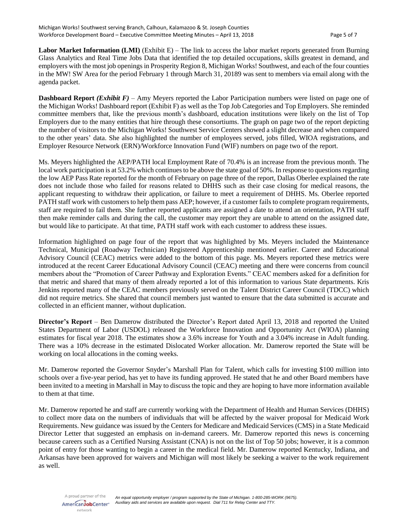**Labor Market Information (LMI)** (Exhibit E) – The link to access the labor market reports generated from Burning Glass Analytics and Real Time Jobs Data that identified the top detailed occupations, skills greatest in demand, and employers with the most job openings in Prosperity Region 8, Michigan Works! Southwest, and each of the four counties in the MW! SW Area for the period February 1 through March 31, 20189 was sent to members via email along with the agenda packet.

**Dashboard Report** *(Exhibit F)* – Amy Meyers reported the Labor Participation numbers were listed on page one of the Michigan Works! Dashboard report (Exhibit F) as well as the Top Job Categories and Top Employers. She reminded committee members that, like the previous month's dashboard, education institutions were likely on the list of Top Employers due to the many entities that hire through these consortiums. The graph on page two of the report depicting the number of visitors to the Michigan Works! Southwest Service Centers showed a slight decrease and when compared to the other years' data. She also highlighted the number of employees served, jobs filled, WIOA registrations, and Employer Resource Network (ERN)/Workforce Innovation Fund (WIF) numbers on page two of the report.

Ms. Meyers highlighted the AEP/PATH local Employment Rate of 70.4% is an increase from the previous month. The local work participation is at 53.2% which continues to be above the state goal of 50%. In response to questions regarding the low AEP Pass Rate reported for the month of February on page three of the report, Dallas Oberlee explained the rate does not include those who failed for reasons related to DHHS such as their case closing for medical reasons, the applicant requesting to withdraw their application, or failure to meet a requirement of DHHS. Ms. Oberlee reported PATH staff work with customers to help them pass AEP; however, if a customer fails to complete program requirements, staff are required to fail them. She further reported applicants are assigned a date to attend an orientation, PATH staff then make reminder calls and during the call, the customer may report they are unable to attend on the assigned date, but would like to participate. At that time, PATH staff work with each customer to address these issues.

Information highlighted on page four of the report that was highlighted by Ms. Meyers included the Maintenance Technical, Municipal (Roadway Technician) Registered Apprenticeship mentioned earlier. Career and Educational Advisory Council (CEAC) metrics were added to the bottom of this page. Ms. Meyers reported these metrics were introduced at the recent Career Educational Advisory Council (CEAC) meeting and there were concerns from council members about the "Promotion of Career Pathway and Exploration Events." CEAC members asked for a definition for that metric and shared that many of them already reported a lot of this information to various State departments. Kris Jenkins reported many of the CEAC members previously served on the Talent District Career Council (TDCC) which did not require metrics. She shared that council members just wanted to ensure that the data submitted is accurate and collected in an efficient manner, without duplication.

**Director's Report** – Ben Damerow distributed the Director's Report dated April 13, 2018 and reported the United States Department of Labor (USDOL) released the Workforce Innovation and Opportunity Act (WIOA) planning estimates for fiscal year 2018. The estimates show a 3.6% increase for Youth and a 3.04% increase in Adult funding. There was a 10% decrease in the estimated Dislocated Worker allocation. Mr. Damerow reported the State will be working on local allocations in the coming weeks.

Mr. Damerow reported the Governor Snyder's Marshall Plan for Talent, which calls for investing \$100 million into schools over a five-year period, has yet to have its funding approved. He stated that he and other Board members have been invited to a meeting in Marshall in May to discuss the topic and they are hoping to have more information available to them at that time.

Mr. Damerow reported he and staff are currently working with the Department of Health and Human Services (DHHS) to collect more data on the numbers of individuals that will be affected by the waiver proposal for Medicaid Work Requirements. New guidance was issued by the Centers for Medicare and Medicaid Services (CMS) in a State Medicaid Director Letter that suggested an emphasis on in-demand careers. Mr. Damerow reported this news is concerning because careers such as a Certified Nursing Assistant (CNA) is not on the list of Top 50 jobs; however, it is a common point of entry for those wanting to begin a career in the medical field. Mr. Damerow reported Kentucky, Indiana, and Arkansas have been approved for waivers and Michigan will most likely be seeking a waiver to the work requirement as well.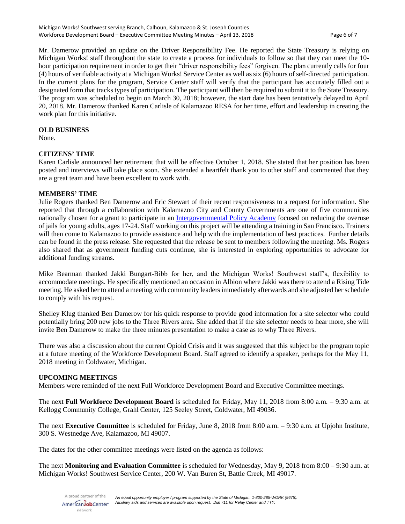Mr. Damerow provided an update on the Driver Responsibility Fee. He reported the State Treasury is relying on Michigan Works! staff throughout the state to create a process for individuals to follow so that they can meet the 10 hour participation requirement in order to get their "driver responsibility fees" forgiven. The plan currently calls for four (4) hours of verifiable activity at a Michigan Works! Service Center as well as six (6) hours of self-directed participation. In the current plans for the program, Service Center staff will verify that the participant has accurately filled out a designated form that tracks types of participation. The participant will then be required to submit it to the State Treasury. The program was scheduled to begin on March 30, 2018; however, the start date has been tentatively delayed to April 20, 2018. Mr. Damerow thanked Karen Carlisle of Kalamazoo RESA for her time, effort and leadership in creating the work plan for this initiative.

### **OLD BUSINESS**

None.

### **CITIZENS' TIME**

Karen Carlisle announced her retirement that will be effective October 1, 2018. She stated that her position has been posted and interviews will take place soon. She extended a heartfelt thank you to other staff and commented that they are a great team and have been excellent to work with.

### **MEMBERS' TIME**

Julie Rogers thanked Ben Damerow and Eric Stewart of their recent responsiveness to a request for information. She reported that through a collaboration with Kalamazoo City and County Governments are one of five communities nationally chosen for a grant to participate in an [Intergovernmental Policy Academy](https://www.kalamazoocity.org/news/351-kalamazoo-city-and-county-governments-selected-to-participate-in-intergovernmental-policy-academy-young-adults-and-the-justice-system) focused on reducing the overuse of jails for young adults, ages 17-24. Staff working on this project will be attending a training in San Francisco. Trainers will then come to Kalamazoo to provide assistance and help with the implementation of best practices. Further details can be found in the press release. She requested that the release be sent to members following the meeting. Ms. Rogers also shared that as government funding cuts continue, she is interested in exploring opportunities to advocate for additional funding streams.

Mike Bearman thanked Jakki Bungart-Bibb for her, and the Michigan Works! Southwest staff's, flexibility to accommodate meetings. He specifically mentioned an occasion in Albion where Jakki was there to attend a Rising Tide meeting. He asked her to attend a meeting with community leaders immediately afterwards and she adjusted her schedule to comply with his request.

Shelley Klug thanked Ben Damerow for his quick response to provide good information for a site selector who could potentially bring 200 new jobs to the Three Rivers area. She added that if the site selector needs to hear more, she will invite Ben Damerow to make the three minutes presentation to make a case as to why Three Rivers.

There was also a discussion about the current Opioid Crisis and it was suggested that this subject be the program topic at a future meeting of the Workforce Development Board. Staff agreed to identify a speaker, perhaps for the May 11, 2018 meeting in Coldwater, Michigan.

### **UPCOMING MEETINGS**

Members were reminded of the next Full Workforce Development Board and Executive Committee meetings.

The next **Full Workforce Development Board** is scheduled for Friday, May 11, 2018 from 8:00 a.m. – 9:30 a.m. at Kellogg Community College, Grahl Center, 125 Seeley Street, Coldwater, MI 49036.

The next **Executive Committee** is scheduled for Friday, June 8, 2018 from 8:00 a.m. – 9:30 a.m. at Upjohn Institute, 300 S. Westnedge Ave, Kalamazoo, MI 49007.

The dates for the other committee meetings were listed on the agenda as follows:

The next **Monitoring and Evaluation Committee** is scheduled for Wednesday, May 9, 2018 from 8:00 – 9:30 a.m. at Michigan Works! Southwest Service Center, 200 W. Van Buren St, Battle Creek, MI 49017.